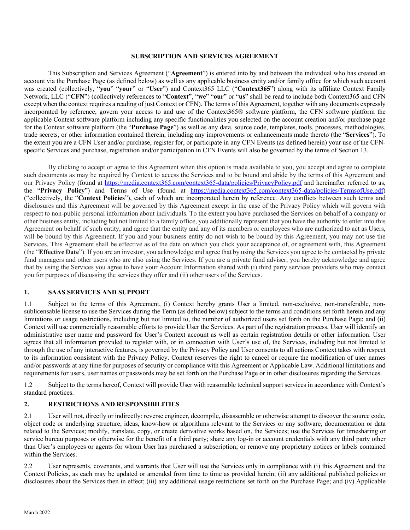#### **SUBSCRIPTION AND SERVICES AGREEMENT**

This Subscription and Services Agreement ("**Agreement**") is entered into by and between the individual who has created an account via the Purchase Page (as defined below) as well as any applicable business entity and/or family office for which such account was created (collectively, "**you**" "**your**" or "**User**") and Context365 LLC ("**Context365**") along with its affiliate Context Family Network, LLC ("**CFN**") (collectively references to "**Context**", "**we**" "**our**" or "**us**" shall be read to include both Context365 and CFN except when the context requires a reading of just Context or CFN). The terms of this Agreement, together with any documents expressly incorporated by reference, govern your access to and use of the Context365® software platform, the CFN software platform the applicable Context software platform including any specific functionalities you selected on the account creation and/or purchase page for the Context software platform (the "**Purchase Page**") as well as any data, source code, templates, tools, processes, methodologies, trade secrets, or other information contained therein, including any improvements or enhancements made thereto (the "**Services**"). To the extent you are a CFN User and/or purchase, register for, or participate in any CFN Events (as defined herein) your use of the CFNspecific Services and purchase, registration and/or participation in CFN Events will also be governed by the terms of Section 13.

By clicking to accept or agree to this Agreement when this option is made available to you, you accept and agree to complete such documents as may be required by Context to access the Services and to be bound and abide by the terms of this Agreement and our Privacy Policy (found at https://media.context365.com/context365-data/policies/PrivacyPolicy.pdf and hereinafter referred to as, the "**Privacy Policy**") and Terms of Use (found at https://media.context365.com/context365-data/policies/TermsofUse.pdf) ("collectively, the "**Context Policies**"), each of which are incorporated herein by reference*.* Any conflicts between such terms and disclosures and this Agreement will be governed by this Agreement except in the case of the Privacy Policy which will govern with respect to non-public personal information about individuals. To the extent you have purchased the Services on behalf of a company or other business entity, including but not limited to a family office, you additionally represent that you have the authority to enter into this Agreement on behalf of such entity, and agree that the entity and any of its members or employees who are authorized to act as Users, will be bound by this Agreement. If you and your business entity do not wish to be bound by this Agreement, you may not use the Services. This Agreement shall be effective as of the date on which you click your acceptance of, or agreement with, this Agreement (the "**Effective Date**"). If you are an investor, you acknowledge and agree that by using the Services you agree to be contacted by private fund managers and other users who are also using the Services. If you are a private fund adviser, you hereby acknowledge and agree that by using the Services you agree to have your Account Information shared with (i) third party services providers who may contact you for purposes of discussing the services they offer and (ii) other users of the Services.

#### **1. SAAS SERVICES AND SUPPORT**

1.1 Subject to the terms of this Agreement, (i) Context hereby grants User a limited, non-exclusive, non-transferable, nonsublicensable license to use the Services during the Term (as defined below) subject to the terms and conditions set forth herein and any limitations or usage restrictions, including but not limited to, the number of authorized users set forth on the Purchase Page; and (ii) Context will use commercially reasonable efforts to provide User the Services. As part of the registration process, User will identify an administrative user name and password for User's Context account as well as certain registration details or other information. User agrees that all information provided to register with, or in connection with User's use of, the Services, including but not limited to through the use of any interactive features, is governed by the Privacy Policy and User consents to all actions Context takes with respect to its information consistent with the Privacy Policy. Context reserves the right to cancel or require the modification of user names and/or passwords at any time for purposes of security or compliance with this Agreement or Applicable Law. Additional limitations and requirements for users, user names or passwords may be set forth on the Purchase Page or in other disclosures regarding the Services.

1.2 Subject to the terms hereof, Context will provide User with reasonable technical support services in accordance with Context's standard practices.

#### **2. RESTRICTIONS AND RESPONSIBILITIES**

2.1 User will not, directly or indirectly: reverse engineer, decompile, disassemble or otherwise attempt to discover the source code, object code or underlying structure, ideas, know-how or algorithms relevant to the Services or any software, documentation or data related to the Services; modify, translate, copy, or create derivative works based on, the Services; use the Services for timesharing or service bureau purposes or otherwise for the benefit of a third party; share any log-in or account credentials with any third party other than User's employees or agents for whom User has purchased a subscription; or remove any proprietary notices or labels contained within the Services.

2.2 User represents, covenants, and warrants that User will use the Services only in compliance with (i) this Agreement and the Context Policies, as each may be updated or amended from time to time as provided herein; (ii) any additional published policies or disclosures about the Services then in effect; (iii) any additional usage restrictions set forth on the Purchase Page; and (iv) Applicable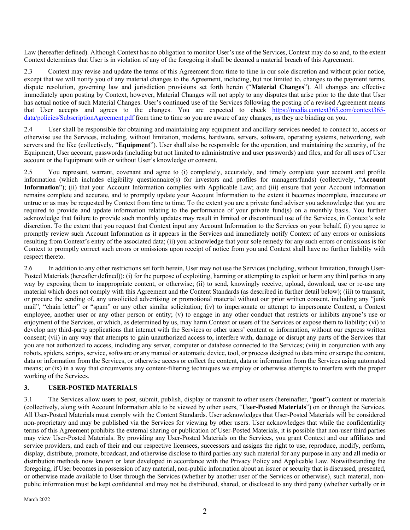Law (hereafter defined). Although Context has no obligation to monitor User's use of the Services, Context may do so and, to the extent Context determines that User is in violation of any of the foregoing it shall be deemed a material breach of this Agreement.

2.3 Context may revise and update the terms of this Agreement from time to time in our sole discretion and without prior notice, except that we will notify you of any material changes to the Agreement, including, but not limited to, changes to the payment terms, dispute resolution, governing law and jurisdiction provisions set forth herein ("**Material Changes**"). All changes are effective immediately upon posting by Context, however, Material Changes will not apply to any disputes that arise prior to the date that User has actual notice of such Material Changes. User's continued use of the Services following the posting of a revised Agreement means that User accepts and agrees to the changes. You are expected to check https://media.context365.com/context365 data/policies/SubscriptionAgreement.pdf from time to time so you are aware of any changes, as they are binding on you.

2.4 User shall be responsible for obtaining and maintaining any equipment and ancillary services needed to connect to, access or otherwise use the Services, including, without limitation, modems, hardware, servers, software, operating systems, networking, web servers and the like (collectively, "**Equipment**"). User shall also be responsible for the operation, and maintaining the security, of the Equipment, User account, passwords (including but not limited to administrative and user passwords) and files, and for all uses of User account or the Equipment with or without User's knowledge or consent.

2.5 You represent, warrant, covenant and agree to (i) completely, accurately, and timely complete your account and profile information (which includes eligibility questionnaire(s) for investors and profiles for managers/funds) (collectively, "**Account Information**"); (ii) that your Account Information complies with Applicable Law; and (iii) ensure that your Account information remains complete and accurate, and to promptly update your Account Information to the extent it becomes incomplete, inaccurate or untrue or as may be requested by Context from time to time. To the extent you are a private fund adviser you acknowledge that you are required to provide and update information relating to the performance of your private fund(s) on a monthly basis. You further acknowledge that failure to provide such monthly updates may result in limited or discontinued use of the Services, in Context's sole discretion. To the extent that you request that Context input any Account Information to the Services on your behalf, (i) you agree to promptly review such Account Information as it appears in the Services and immediately notify Context of any errors or omissions resulting from Context's entry of the associated data; (ii) you acknowledge that your sole remedy for any such errors or omissions is for Context to promptly correct such errors or omissions upon receipt of notice from you and Context shall have no further liability with respect thereto.

2.6 In addition to any other restrictions set forth herein, User may not use the Services (including, without limitation, through User-Posted Materials (hereafter defined)): (i) for the purpose of exploiting, harming or attempting to exploit or harm any third parties in any way by exposing them to inappropriate content, or otherwise; (ii) to send, knowingly receive, upload, download, use or re-use any material which does not comply with this Agreement and the Content Standards (as described in further detail below); (iii) to transmit, or procure the sending of, any unsolicited advertising or promotional material without our prior written consent, including any "junk mail", "chain letter" or "spam" or any other similar solicitation; (iv) to impersonate or attempt to impersonate Context, a Context employee, another user or any other person or entity; (v) to engage in any other conduct that restricts or inhibits anyone's use or enjoyment of the Services, or which, as determined by us, may harm Context or users of the Services or expose them to liability; (vi) to develop any third-party applications that interact with the Services or other users' content or information, without our express written consent; (vii) in any way that attempts to gain unauthorized access to, interfere with, damage or disrupt any parts of the Services that you are not authorized to access, including any server, computer or database connected to the Services; (viii) in conjunction with any robots, spiders, scripts, service, software or any manual or automatic device, tool, or process designed to data mine or scrape the content, data or information from the Services, or otherwise access or collect the content, data or information from the Services using automated means; or (ix) in a way that circumvents any content-filtering techniques we employ or otherwise attempts to interfere with the proper working of the Services.

### **3. USER-POSTED MATERIALS**

3.1 The Services allow users to post, submit, publish, display or transmit to other users (hereinafter, "**post**") content or materials (collectively, along with Account Information able to be viewed by other users, "**User-Posted Materials**") on or through the Services. All User-Posted Materials must comply with the Content Standards. User acknowledges that User-Posted Materials will be considered non-proprietary and may be published via the Services for viewing by other users. User acknowledges that while the confidentiality terms of this Agreement prohibits the external sharing or publication of User-Posted Materials, it is possible that non-user third parties may view User-Posted Materials. By providing any User-Posted Materials on the Services, you grant Context and our affiliates and service providers, and each of their and our respective licensees, successors and assigns the right to use, reproduce, modify, perform, display, distribute, promote, broadcast, and otherwise disclose to third parties any such material for any purpose in any and all media or distribution methods now known or later developed in accordance with the Privacy Policy and Applicable Law. Notwithstanding the foregoing, if User becomes in possession of any material, non-public information about an issuer or security that is discussed, presented, or otherwise made available to User through the Services (whether by another user of the Services or otherwise), such material, nonpublic information must be kept confidential and may not be distributed, shared, or disclosed to any third party (whether verbally or in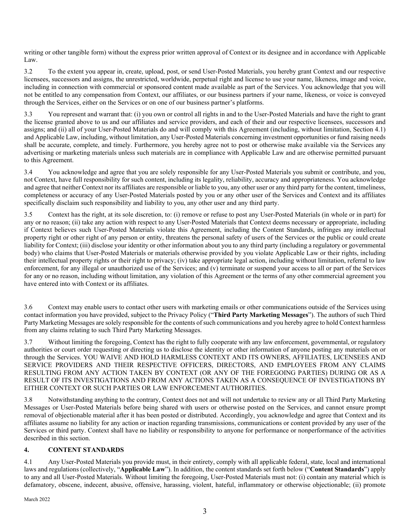writing or other tangible form) without the express prior written approval of Context or its designee and in accordance with Applicable Law.

3.2 To the extent you appear in, create, upload, post, or send User-Posted Materials, you hereby grant Context and our respective licensees, successors and assigns, the unrestricted, worldwide, perpetual right and license to use your name, likeness, image and voice, including in connection with commercial or sponsored content made available as part of the Services. You acknowledge that you will not be entitled to any compensation from Context, our affiliates, or our business partners if your name, likeness, or voice is conveyed through the Services, either on the Services or on one of our business partner's platforms.

3.3 You represent and warrant that: (i) you own or control all rights in and to the User-Posted Materials and have the right to grant the license granted above to us and our affiliates and service providers, and each of their and our respective licensees, successors and assigns; and (ii) all of your User-Posted Materials do and will comply with this Agreement (including, without limitation, Section 4.1) and Applicable Law, including, without limitation, any User-Posted Materials concerning investment opportunities or fund raising needs shall be accurate, complete, and timely. Furthermore, you hereby agree not to post or otherwise make available via the Services any advertising or marketing materials unless such materials are in compliance with Applicable Law and are otherwise permitted pursuant to this Agreement.

3.4 You acknowledge and agree that you are solely responsible for any User-Posted Materials you submit or contribute, and you, not Context, have full responsibility for such content, including its legality, reliability, accuracy and appropriateness. You acknowledge and agree that neither Context nor its affiliates are responsible or liable to you, any other user or any third party for the content, timeliness, completeness or accuracy of any User-Posted Materials posted by you or any other user of the Services and Context and its affiliates specifically disclaim such responsibility and liability to you, any other user and any third party.

3.5 Context has the right, at its sole discretion, to: (i) remove or refuse to post any User-Posted Materials (in whole or in part) for any or no reason; (ii) take any action with respect to any User-Posted Materials that Context deems necessary or appropriate, including if Context believes such User-Posted Materials violate this Agreement, including the Content Standards, infringes any intellectual property right or other right of any person or entity, threatens the personal safety of users of the Services or the public or could create liability for Context; (iii) disclose your identity or other information about you to any third party (including a regulatory or governmental body) who claims that User-Posted Materials or materials otherwise provided by you violate Applicable Law or their rights, including their intellectual property rights or their right to privacy; (iv) take appropriate legal action, including without limitation, referral to law enforcement, for any illegal or unauthorized use of the Services; and (v) terminate or suspend your access to all or part of the Services for any or no reason, including without limitation, any violation of this Agreement or the terms of any other commercial agreement you have entered into with Context or its affiliates.

3.6 Context may enable users to contact other users with marketing emails or other communications outside of the Services using contact information you have provided, subject to the Privacy Policy ("**Third Party Marketing Messages**"). The authors of such Third Party Marketing Messages are solely responsible for the contents of such communications and you hereby agree to hold Context harmless from any claims relating to such Third Party Marketing Messages.

3.7 Without limiting the foregoing, Context has the right to fully cooperate with any law enforcement, governmental, or regulatory authorities or court order requesting or directing us to disclose the identity or other information of anyone posting any materials on or through the Services. YOU WAIVE AND HOLD HARMLESS CONTEXT AND ITS OWNERS, AFFILIATES, LICENSEES AND SERVICE PROVIDERS AND THEIR RESPECTIVE OFFICERS, DIRECTORS, AND EMPLOYEES FROM ANY CLAIMS RESULTING FROM ANY ACTION TAKEN BY CONTEXT (OR ANY OF THE FOREGOING PARTIES) DURING OR AS A RESULT OF ITS INVESTIGATIONS AND FROM ANY ACTIONS TAKEN AS A CONSEQUENCE OF INVESTIGATIONS BY EITHER CONTEXT OR SUCH PARTIES OR LAW ENFORCEMENT AUTHORITIES.

3.8 Notwithstanding anything to the contrary, Context does not and will not undertake to review any or all Third Party Marketing Messages or User-Posted Materials before being shared with users or otherwise posted on the Services, and cannot ensure prompt removal of objectionable material after it has been posted or distributed. Accordingly, you acknowledge and agree that Context and its affiliates assume no liability for any action or inaction regarding transmissions, communications or content provided by any user of the Services or third party. Context shall have no liability or responsibility to anyone for performance or nonperformance of the activities described in this section.

### **4. CONTENT STANDARDS**

4.1 Any User-Posted Materials you provide must, in their entirety, comply with all applicable federal, state, local and international laws and regulations (collectively, "**Applicable Law**"). In addition, the content standards set forth below ("**Content Standards**") apply to any and all User-Posted Materials. Without limiting the foregoing, User-Posted Materials must not: (i) contain any material which is defamatory, obscene, indecent, abusive, offensive, harassing, violent, hateful, inflammatory or otherwise objectionable; (ii) promote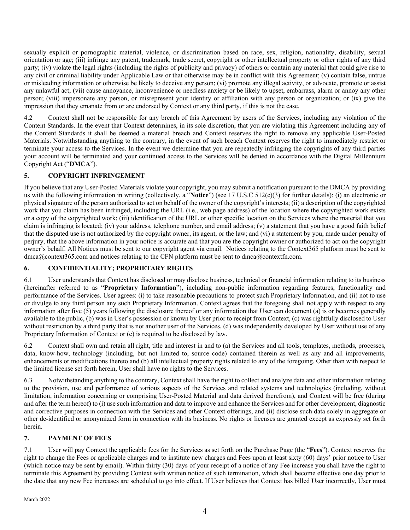sexually explicit or pornographic material, violence, or discrimination based on race, sex, religion, nationality, disability, sexual orientation or age; (iii) infringe any patent, trademark, trade secret, copyright or other intellectual property or other rights of any third party; (iv) violate the legal rights (including the rights of publicity and privacy) of others or contain any material that could give rise to any civil or criminal liability under Applicable Law or that otherwise may be in conflict with this Agreement; (v) contain false, untrue or misleading information or otherwise be likely to deceive any person; (vi) promote any illegal activity, or advocate, promote or assist any unlawful act; (vii) cause annoyance, inconvenience or needless anxiety or be likely to upset, embarrass, alarm or annoy any other person; (viii) impersonate any person, or misrepresent your identity or affiliation with any person or organization; or (ix) give the impression that they emanate from or are endorsed by Context or any third party, if this is not the case.

4.2 Context shall not be responsible for any breach of this Agreement by users of the Services, including any violation of the Content Standards. In the event that Context determines, in its sole discretion, that you are violating this Agreement including any of the Content Standards it shall be deemed a material breach and Context reserves the right to remove any applicable User-Posted Materials. Notwithstanding anything to the contrary, in the event of such breach Context reserves the right to immediately restrict or terminate your access to the Services. In the event we determine that you are repeatedly infringing the copyrights of any third parties your account will be terminated and your continued access to the Services will be denied in accordance with the Digital Millennium Copyright Act ("**DMCA**").

## **5. COPYRIGHT INFRINGEMENT**

If you believe that any User-Posted Materials violate your copyright, you may submit a notification pursuant to the DMCA by providing us with the following information in writing (collectively, a "**Notice**") (see 17 U.S.C 512(c)(3) for further details): (i) an electronic or physical signature of the person authorized to act on behalf of the owner of the copyright's interests; (ii) a description of the copyrighted work that you claim has been infringed, including the URL (i.e., web page address) of the location where the copyrighted work exists or a copy of the copyrighted work; (iii) identification of the URL or other specific location on the Services where the material that you claim is infringing is located; (iv) your address, telephone number, and email address; (v) a statement that you have a good faith belief that the disputed use is not authorized by the copyright owner, its agent, or the law; and (vi) a statement by you, made under penalty of perjury, that the above information in your notice is accurate and that you are the copyright owner or authorized to act on the copyright owner's behalf. All Notices must be sent to our copyright agent via email. Notices relating to the Context365 platform must be sent to dmca@context365.com and notices relating to the CFN platform must be sent to dmca@contextfn.com.

### **6. CONFIDENTIALITY; PROPRIETARY RIGHTS**

6.1 User understands that Context has disclosed or may disclose business, technical or financial information relating to its business (hereinafter referred to as "**Proprietary Information**"), including non-public information regarding features, functionality and performance of the Services. User agrees: (i) to take reasonable precautions to protect such Proprietary Information, and (ii) not to use or divulge to any third person any such Proprietary Information. Context agrees that the foregoing shall not apply with respect to any information after five (5) years following the disclosure thereof or any information that User can document (a) is or becomes generally available to the public, (b) was in User's possession or known by User prior to receipt from Context, (c) was rightfully disclosed to User without restriction by a third party that is not another user of the Services, (d) was independently developed by User without use of any Proprietary Information of Context or (e) is required to be disclosed by law.

6.2 Context shall own and retain all right, title and interest in and to (a) the Services and all tools, templates, methods, processes, data, know-how, technology (including, but not limited to, source code) contained therein as well as any and all improvements, enhancements or modifications thereto and (b) all intellectual property rights related to any of the foregoing. Other than with respect to the limited license set forth herein, User shall have no rights to the Services.

6.3 Notwithstanding anything to the contrary, Context shall have the right to collect and analyze data and other information relating to the provision, use and performance of various aspects of the Services and related systems and technologies (including, without limitation, information concerning or comprising User-Posted Material and data derived therefrom), and Context will be free (during and after the term hereof) to (i) use such information and data to improve and enhance the Services and for other development, diagnostic and corrective purposes in connection with the Services and other Context offerings, and (ii) disclose such data solely in aggregate or other de-identified or anonymized form in connection with its business. No rights or licenses are granted except as expressly set forth herein.

# **7. PAYMENT OF FEES**

7.1 User will pay Context the applicable fees for the Services as set forth on the Purchase Page (the "**Fees**"). Context reserves the right to change the Fees or applicable charges and to institute new charges and Fees upon at least sixty (60) days' prior notice to User (which notice may be sent by email). Within thirty (30) days of your receipt of a notice of any Fee increase you shall have the right to terminate this Agreement by providing Context with written notice of such termination, which shall become effective one day prior to the date that any new Fee increases are scheduled to go into effect. If User believes that Context has billed User incorrectly, User must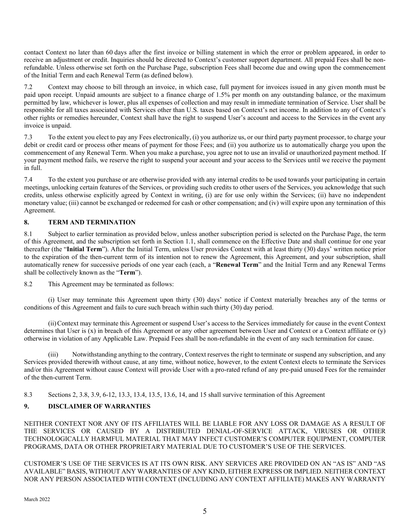contact Context no later than 60 days after the first invoice or billing statement in which the error or problem appeared, in order to receive an adjustment or credit. Inquiries should be directed to Context's customer support department. All prepaid Fees shall be nonrefundable. Unless otherwise set forth on the Purchase Page, subscription Fees shall become due and owing upon the commencement of the Initial Term and each Renewal Term (as defined below).

7.2 Context may choose to bill through an invoice, in which case, full payment for invoices issued in any given month must be paid upon receipt. Unpaid amounts are subject to a finance charge of 1.5% per month on any outstanding balance, or the maximum permitted by law, whichever is lower, plus all expenses of collection and may result in immediate termination of Service. User shall be responsible for all taxes associated with Services other than U.S. taxes based on Context's net income. In addition to any of Context's other rights or remedies hereunder, Context shall have the right to suspend User's account and access to the Services in the event any invoice is unpaid.

7.3 To the extent you elect to pay any Fees electronically, (i) you authorize us, or our third party payment processor, to charge your debit or credit card or process other means of payment for those Fees; and (ii) you authorize us to automatically charge you upon the commencement of any Renewal Term. When you make a purchase, you agree not to use an invalid or unauthorized payment method. If your payment method fails, we reserve the right to suspend your account and your access to the Services until we receive the payment in full.

7.4 To the extent you purchase or are otherwise provided with any internal credits to be used towards your participating in certain meetings, unlocking certain features of the Services, or providing such credits to other users of the Services, you acknowledge that such credits, unless otherwise explicitly agreed by Context in writing, (i) are for use only within the Services; (ii) have no independent monetary value; (iii) cannot be exchanged or redeemed for cash or other compensation; and (iv) will expire upon any termination of this Agreement.

### **8. TERM AND TERMINATION**

8.1 Subject to earlier termination as provided below, unless another subscription period is selected on the Purchase Page, the term of this Agreement, and the subscription set forth in Section 1.1, shall commence on the Effective Date and shall continue for one year thereafter (the "**Initial Term**"). After the Initial Term, unless User provides Context with at least thirty (30) days' written notice prior to the expiration of the then-current term of its intention not to renew the Agreement, this Agreement, and your subscription, shall automatically renew for successive periods of one year each (each, a "**Renewal Term**" and the Initial Term and any Renewal Terms shall be collectively known as the "**Term**").

8.2 This Agreement may be terminated as follows:

(i) User may terminate this Agreement upon thirty (30) days' notice if Context materially breaches any of the terms or conditions of this Agreement and fails to cure such breach within such thirty (30) day period.

(ii)Context may terminate this Agreement or suspend User's access to the Services immediately for cause in the event Context determines that User is (x) in breach of this Agreement or any other agreement between User and Context or a Context affiliate or (y) otherwise in violation of any Applicable Law. Prepaid Fees shall be non-refundable in the event of any such termination for cause.

(iii) Notwithstanding anything to the contrary, Context reserves the right to terminate or suspend any subscription, and any Services provided therewith without cause, at any time, without notice, however, to the extent Context elects to terminate the Services and/or this Agreement without cause Context will provide User with a pro-rated refund of any pre-paid unused Fees for the remainder of the then-current Term.

8.3 Sections 2, 3.8, 3.9, 6-12, 13.3, 13.4, 13.5, 13.6, 14, and 15 shall survive termination of this Agreement

# **9. DISCLAIMER OF WARRANTIES**

NEITHER CONTEXT NOR ANY OF ITS AFFILIATES WILL BE LIABLE FOR ANY LOSS OR DAMAGE AS A RESULT OF THE SERVICES OR CAUSED BY A DISTRIBUTED DENIAL-OF-SERVICE ATTACK, VIRUSES OR OTHER TECHNOLOGICALLY HARMFUL MATERIAL THAT MAY INFECT CUSTOMER'S COMPUTER EQUIPMENT, COMPUTER PROGRAMS, DATA OR OTHER PROPRIETARY MATERIAL DUE TO CUSTOMER'S USE OF THE SERVICES.

CUSTOMER'S USE OF THE SERVICES IS AT ITS OWN RISK. ANY SERVICES ARE PROVIDED ON AN "AS IS" AND "AS AVAILABLE" BASIS, WITHOUT ANY WARRANTIES OF ANY KIND, EITHER EXPRESS OR IMPLIED. NEITHER CONTEXT NOR ANY PERSON ASSOCIATED WITH CONTEXT (INCLUDING ANY CONTEXT AFFILIATE) MAKES ANY WARRANTY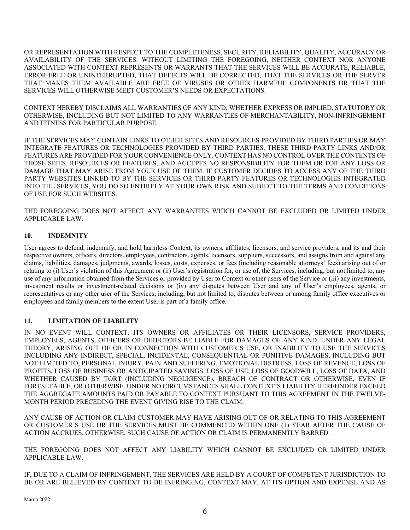OR REPRESENTATION WITH RESPECT TO THE COMPLETENESS, SECURITY, RELIABILITY, QUALITY, ACCURACY OR AVAILABILITY OF THE SERVICES. WITHOUT LIMITING THE FOREGOING, NEITHER CONTEXT NOR ANYONE ASSOCIATED WITH CONTEXT REPRESENTS OR WARRANTS THAT THE SERVICES WILL BE ACCURATE, RELIABLE, ERROR-FREE OR UNINTERRUPTED, THAT DEFECTS WILL BE CORRECTED, THAT THE SERVICES OR THE SERVER THAT MAKES THEM AVAILABLE ARE FREE OF VIRUSES OR OTHER HARMFUL COMPONENTS OR THAT THE SERVICES WILL OTHERWISE MEET CUSTOMER'S NEEDS OR EXPECTATIONS.

CONTEXT HEREBY DISCLAIMS ALL WARRANTIES OF ANY KIND, WHETHER EXPRESS OR IMPLIED, STATUTORY OR OTHERWISE, INCLUDING BUT NOT LIMITED TO ANY WARRANTIES OF MERCHANTABILITY, NON-INFRINGEMENT AND FITNESS FOR PARTICULAR PURPOSE.

IF THE SERVICES MAY CONTAIN LINKS TO OTHER SITES AND RESOURCES PROVIDED BY THIRD PARTIES OR MAY INTEGRATE FEATURES OR TECHNOLOGIES PROVIDED BY THIRD PARTIES, THESE THIRD PARTY LINKS AND/OR FEATURES ARE PROVIDED FOR YOUR CONVENIENCE ONLY. CONTEXT HAS NO CONTROL OVER THE CONTENTS OF THOSE SITES, RESOURCES OR FEATURES, AND ACCEPTS NO RESPONSIBILITY FOR THEM OR FOR ANY LOSS OR DAMAGE THAT MAY ARISE FROM YOUR USE OF THEM. IF CUSTOMER DECIDES TO ACCESS ANY OF THE THIRD PARTY WEBSITES LINKED TO BY THE SERVICES OR THIRD PARTY FEATURES OR TECHNOLOGIES INTEGRATED INTO THE SERVICES, YOU DO SO ENTIRELY AT YOUR OWN RISK AND SUBJECT TO THE TERMS AND CONDITIONS OF USE FOR SUCH WEBSITES.

THE FOREGOING DOES NOT AFFECT ANY WARRANTIES WHICH CANNOT BE EXCLUDED OR LIMITED UNDER APPLICABLE LAW.

## **10. INDEMNITY**

User agrees to defend, indemnify, and hold harmless Context, its owners, affiliates, licensors, and service providers, and its and their respective owners, officers, directors, employees, contractors, agents, licensors, suppliers, successors, and assigns from and against any claims, liabilities, damages, judgments, awards, losses, costs, expenses, or fees (including reasonable attorneys' fees) arising out of or relating to (i) User's violation of this Agreement or (ii) User's registration for, or use of, the Services, including, but not limited to, any use of any information obtained from the Services or provided by User to Context or other users of the Service or (iii) any investments, investment results or investment-related decisions or (iv) any disputes between User and any of User's employees, agents, or representatives or any other user of the Services, including, but not limited to, disputes between or among family office executives or employees and family members to the extent User is part of a family office.

### **11. LIMITATION OF LIABILITY**

IN NO EVENT WILL CONTEXT, ITS OWNERS OR AFFILIATES OR THEIR LICENSORS, SERVICE PROVIDERS, EMPLOYEES, AGENTS, OFFICERS OR DIRECTORS BE LIABLE FOR DAMAGES OF ANY KIND, UNDER ANY LEGAL THEORY, ARISING OUT OF OR IN CONNECTION WITH CUSTOMER'S USE, OR INABILITY TO USE THE SERVICES INCLUDING ANY INDIRECT, SPECIAL, INCIDENTAL, CONSEQUENTIAL OR PUNITIVE DAMAGES, INCLUDING BUT NOT LIMITED TO, PERSONAL INJURY, PAIN AND SUFFERING, EMOTIONAL DISTRESS, LOSS OF REVENUE, LOSS OF PROFITS, LOSS OF BUSINESS OR ANTICIPATED SAVINGS, LOSS OF USE, LOSS OF GOODWILL, LOSS OF DATA, AND WHETHER CAUSED BY TORT (INCLUDING NEGLIGENCE), BREACH OF CONTRACT OR OTHERWISE, EVEN IF FORESEEABLE, OR OTHERWISE. UNDER NO CIRCUMSTANCES SHALL CONTEXT'S LIABILITY HEREUNDER EXCEED THE AGGREGATE AMOUNTS PAID OR PAYABLE TO CONTEXT PURSUANT TO THIS AGREEMENT IN THE TWELVE-MONTH PERIOD PRECEDING THE EVENT GIVING RISE TO THE CLAIM.

ANY CAUSE OF ACTION OR CLAIM CUSTOMER MAY HAVE ARISING OUT OF OR RELATING TO THIS AGREEMENT OR CUSTOMER'S USE OR THE SERVICES MUST BE COMMENCED WITHIN ONE (1) YEAR AFTER THE CAUSE OF ACTION ACCRUES, OTHERWISE, SUCH CAUSE OF ACTION OR CLAIM IS PERMANENTLY BARRED.

THE FOREGOING DOES NOT AFFECT ANY LIABILITY WHICH CANNOT BE EXCLUDED OR LIMITED UNDER APPLICABLE LAW.

IF, DUE TO A CLAIM OF INFRINGEMENT, THE SERVICES ARE HELD BY A COURT OF COMPETENT JURISDICTION TO BE OR ARE BELIEVED BY CONTEXT TO BE INFRINGING, CONTEXT MAY, AT ITS OPTION AND EXPENSE AND AS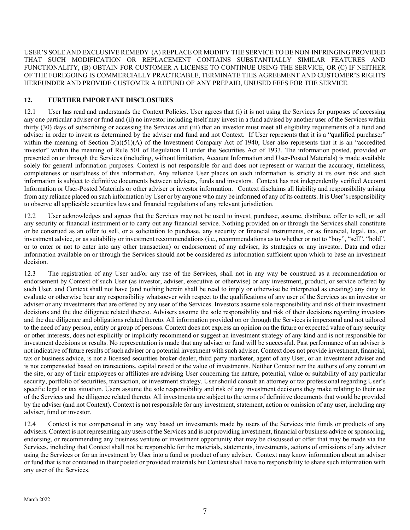USER'S SOLE AND EXCLUSIVE REMEDY (A) REPLACE OR MODIFY THE SERVICE TO BE NON-INFRINGING PROVIDED THAT SUCH MODIFICATION OR REPLACEMENT CONTAINS SUBSTANTIALLY SIMILAR FEATURES AND FUNCTIONALITY, (B) OBTAIN FOR CUSTOMER A LICENSE TO CONTINUE USING THE SERVICE, OR (C) IF NEITHER OF THE FOREGOING IS COMMERCIALLY PRACTICABLE, TERMINATE THIS AGREEMENT AND CUSTOMER'S RIGHTS HEREUNDER AND PROVIDE CUSTOMER A REFUND OF ANY PREPAID, UNUSED FEES FOR THE SERVICE.

### **12. FURTHER IMPORTANT DISCLOSURES**

12.1 User has read and understands the Context Policies. User agrees that (i) it is not using the Services for purposes of accessing any one particular adviser or fund and (ii) no investor including itself may invest in a fund advised by another user of the Services within thirty (30) days of subscribing or accessing the Services and (iii) that an investor must meet all eligibility requirements of a fund and adviser in order to invest as determined by the adviser and fund and not Context. If User represents that it is a "qualified purchaser" within the meaning of Section 2(a)(51)(A) of the Investment Company Act of 1940, User also represents that it is an "accredited investor" within the meaning of Rule 501 of Regulation D under the Securities Act of 1933. The information posted, provided or presented on or through the Services (including, without limitation, Account Information and User-Posted Materials) is made available solely for general information purposes. Context is not responsible for and does not represent or warrant the accuracy, timeliness, completeness or usefulness of this information. Any reliance User places on such information is strictly at its own risk and such information is subject to definitive documents between advisers, funds and investors. Context has not independently verified Account Information or User-Posted Materials or other adviser or investor information. Context disclaims all liability and responsibility arising from any reliance placed on such information by User or by anyone who may be informed of any of its contents. It is User's responsibility to observe all applicable securities laws and financial regulations of any relevant jurisdiction.

12.2 User acknowledges and agrees that the Services may not be used to invest, purchase, assume, distribute, offer to sell, or sell any security or financial instrument or to carry out any financial service. Nothing provided on or through the Services shall constitute or be construed as an offer to sell, or a solicitation to purchase, any security or financial instruments, or as financial, legal, tax, or investment advice, or as suitability or investment recommendations (i.e., recommendations as to whether or not to "buy", "sell", "hold", or to enter or not to enter into any other transaction) or endorsement of any adviser, its strategies or any investor. Data and other information available on or through the Services should not be considered as information sufficient upon which to base an investment decision.

12.3 The registration of any User and/or any use of the Services, shall not in any way be construed as a recommendation or endorsement by Context of such User (as investor, adviser, executive or otherwise) or any investment, product, or service offered by such User, and Context shall not have (and nothing herein shall be read to imply or otherwise be interpreted as creating) any duty to evaluate or otherwise bear any responsibility whatsoever with respect to the qualifications of any user of the Services as an investor or adviser or any investments that are offered by any user of the Services. Investors assume sole responsibility and risk of their investment decisions and the due diligence related thereto. Advisers assume the sole responsibility and risk of their decisions regarding investors and the due diligence and obligations related thereto. All information provided on or through the Services is impersonal and not tailored to the need of any person, entity or group of persons. Context does not express an opinion on the future or expected value of any security or other interests, does not explicitly or implicitly recommend or suggest an investment strategy of any kind and is not responsible for investment decisions or results. No representation is made that any adviser or fund will be successful. Past performance of an adviser is not indicative of future results of such adviser or a potential investment with such adviser. Context does not provide investment, financial, tax or business advice, is not a licensed securities broker-dealer, third party marketer, agent of any User, or an investment adviser and is not compensated based on transactions, capital raised or the value of investments. Neither Context nor the authors of any content on the site, or any of their employees or affiliates are advising User concerning the nature, potential, value or suitability of any particular security, portfolio of securities, transaction, or investment strategy. User should consult an attorney or tax professional regarding User's specific legal or tax situation. Users assume the sole responsibility and risk of any investment decisions they make relating to their use of the Services and the diligence related thereto. All investments are subject to the terms of definitive documents that would be provided by the adviser (and not Context). Context is not responsible for any investment, statement, action or omission of any user, including any adviser, fund or investor.

12.4 Context is not compensated in any way based on investments made by users of the Services into funds or products of any advisers. Context is not representing any users of the Services and is not providing investment, financial or business advice or sponsoring, endorsing, or recommending any business venture or investment opportunity that may be discussed or offer that may be made via the Services, including that Context shall not be responsible for the materials, statements, investments, actions of omissions of any adviser using the Services or for an investment by User into a fund or product of any adviser. Context may know information about an adviser or fund that is not contained in their posted or provided materials but Context shall have no responsibility to share such information with any user of the Services.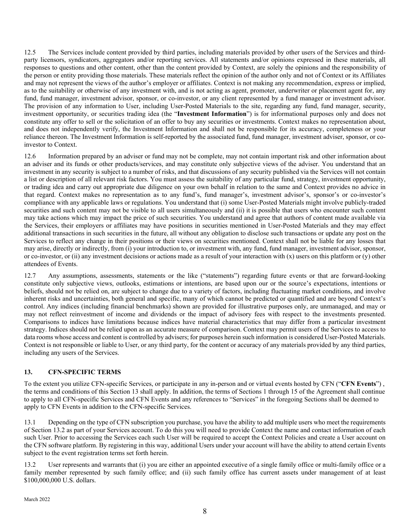12.5 The Services include content provided by third parties, including materials provided by other users of the Services and thirdparty licensors, syndicators, aggregators and/or reporting services. All statements and/or opinions expressed in these materials, all responses to questions and other content, other than the content provided by Context, are solely the opinions and the responsibility of the person or entity providing those materials. These materials reflect the opinion of the author only and not of Context or its Affiliates and may not represent the views of the author's employer or affiliates. Context is not making any recommendation, express or implied, as to the suitability or otherwise of any investment with, and is not acting as agent, promoter, underwriter or placement agent for, any fund, fund manager, investment advisor, sponsor, or co-investor, or any client represented by a fund manager or investment advisor. The provision of any information to User, including User-Posted Materials to the site, regarding any fund, fund manager, security, investment opportunity, or securities trading idea (the "**Investment Information**") is for informational purposes only and does not constitute any offer to sell or the solicitation of an offer to buy any securities or investments. Context makes no representation about, and does not independently verify, the Investment Information and shall not be responsible for its accuracy, completeness or your reliance thereon. The Investment Information is self-reported by the associated fund, fund manager, investment adviser, sponsor, or coinvestor to Context.

12.6 Information prepared by an adviser or fund may not be complete, may not contain important risk and other information about an adviser and its funds or other products/services, and may constitute only subjective views of the adviser. You understand that an investment in any security is subject to a number of risks, and that discussions of any security published via the Services will not contain a list or description of all relevant risk factors. You must assess the suitability of any particular fund, strategy, investment opportunity, or trading idea and carry out appropriate due diligence on your own behalf in relation to the same and Context provides no advice in that regard. Context makes no representation as to any fund's, fund manager's, investment advisor's, sponsor's or co-investor's compliance with any applicable laws or regulations. You understand that (i) some User-Posted Materials might involve publicly-traded securities and such content may not be visible to all users simultaneously and (ii) it is possible that users who encounter such content may take actions which may impact the price of such securities. You understand and agree that authors of content made available via the Services, their employers or affiliates may have positions in securities mentioned in User-Posted Materials and they may effect additional transactions in such securities in the future, all without any obligation to disclose such transactions or update any post on the Services to reflect any change in their positions or their views on securities mentioned. Context shall not be liable for any losses that may arise, directly or indirectly, from (i) your introduction to, or investment with, any fund, fund manager, investment advisor, sponsor, or co-investor, or (ii) any investment decisions or actions made as a result of your interaction with  $(x)$  users on this platform or  $(y)$  other attendees of Events.

12.7 Any assumptions, assessments, statements or the like ("statements") regarding future events or that are forward-looking constitute only subjective views, outlooks, estimations or intentions, are based upon our or the source's expectations, intentions or beliefs, should not be relied on, are subject to change due to a variety of factors, including fluctuating market conditions, and involve inherent risks and uncertainties, both general and specific, many of which cannot be predicted or quantified and are beyond Context's control. Any indices (including financial benchmarks) shown are provided for illustrative purposes only, are unmanaged, and may or may not reflect reinvestment of income and dividends or the impact of advisory fees with respect to the investments presented. Comparisons to indices have limitations because indices have material characteristics that may differ from a particular investment strategy. Indices should not be relied upon as an accurate measure of comparison. Context may permit users of the Services to access to data rooms whose access and content is controlled by advisers; for purposes herein such information is considered User-Posted Materials. Context is not responsible or liable to User, or any third party, for the content or accuracy of any materials provided by any third parties, including any users of the Services.

### **13. CFN-SPECIFIC TERMS**

To the extent you utilize CFN-specific Services, or participate in any in-person and or virtual events hosted by CFN ("**CFN Events**") , the terms and conditions of this Section 13 shall apply. In addition, the terms of Sections 1 through 15 of the Agreement shall continue to apply to all CFN-specific Services and CFN Events and any references to "Services" in the foregoing Sections shall be deemed to apply to CFN Events in addition to the CFN-specific Services.

13.1 Depending on the type of CFN subscription you purchase, you have the ability to add multiple users who meet the requirements of Section 13.2 as part of your Services account. To do this you will need to provide Context the name and contact information of each such User. Prior to accessing the Services each such User will be required to accept the Context Policies and create a User account on the CFN software platform. By registering in this way, additional Users under your account will have the ability to attend certain Events subject to the event registration terms set forth herein.

13.2 User represents and warrants that (i) you are either an appointed executive of a single family office or multi-family office or a family member represented by such family office; and (ii) such family office has current assets under management of at least \$100,000,000 U.S. dollars.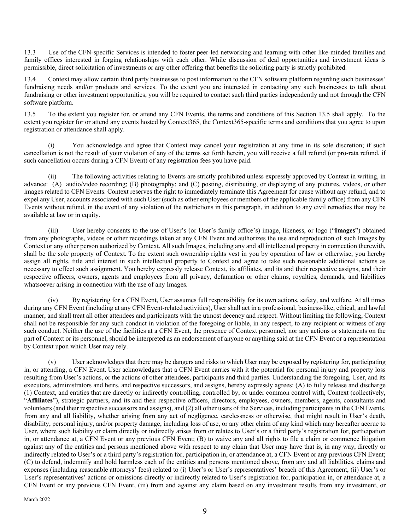13.3 Use of the CFN-specific Services is intended to foster peer-led networking and learning with other like-minded families and family offices interested in forging relationships with each other. While discussion of deal opportunities and investment ideas is permissible, direct solicitation of investments or any other offering that benefits the soliciting party is strictly prohibited.

13.4 Context may allow certain third party businesses to post information to the CFN software platform regarding such businesses' fundraising needs and/or products and services. To the extent you are interested in contacting any such businesses to talk about fundraising or other investment opportunities, you will be required to contact such third parties independently and not through the CFN software platform.

13.5 To the extent you register for, or attend any CFN Events, the terms and conditions of this Section 13.5 shall apply. To the extent you register for or attend any events hosted by Context365, the Context365-specific terms and conditions that you agree to upon registration or attendance shall apply.

(i) You acknowledge and agree that Context may cancel your registration at any time in its sole discretion; if such cancellation is not the result of your violation of any of the terms set forth herein, you will receive a full refund (or pro-rata refund, if such cancellation occurs during a CFN Event) of any registration fees you have paid.

(ii) The following activities relating to Events are strictly prohibited unless expressly approved by Context in writing, in advance: (A) audio/video recording; (B) photography; and (C) posting, distributing, or displaying of any pictures, videos, or other images related to CFN Events. Context reserves the right to immediately terminate this Agreement for cause without any refund, and to expel any User, accounts associated with such User (such as other employees or members of the applicable family office) from any CFN Events without refund, in the event of any violation of the restrictions in this paragraph, in addition to any civil remedies that may be available at law or in equity.

(iii) User hereby consents to the use of User's (or User's family office's) image, likeness, or logo ("**Images**") obtained from any photographs, videos or other recordings taken at any CFN Event and authorizes the use and reproduction of such Images by Context or any other person authorized by Context. All such Images, including any and all intellectual property in connection therewith, shall be the sole property of Context. To the extent such ownership rights vest in you by operation of law or otherwise, you hereby assign all rights, title and interest in such intellectual property to Context and agree to take such reasonable additional actions as necessary to effect such assignment. You hereby expressly release Context, its affiliates, and its and their respective assigns, and their respective officers, owners, agents and employees from all privacy, defamation or other claims, royalties, demands, and liabilities whatsoever arising in connection with the use of any Images.

(iv) By registering for a CFN Event, User assumes full responsibility for its own actions, safety, and welfare. At all times during any CFN Event (including at any CFN Event-related activities), User shall act in a professional, business-like, ethical, and lawful manner, and shall treat all other attendees and participants with the utmost decency and respect. Without limiting the following, Context shall not be responsible for any such conduct in violation of the foregoing or liable, in any respect, to any recipient or witness of any such conduct. Neither the use of the facilities at a CFN Event, the presence of Context personnel, nor any actions or statements on the part of Context or its personnel, should be interpreted as an endorsement of anyone or anything said at the CFN Event or a representation by Context upon which User may rely.

(v) User acknowledges that there may be dangers and risks to which User may be exposed by registering for, participating in, or attending, a CFN Event. User acknowledges that a CFN Event carries with it the potential for personal injury and property loss resulting from User's actions, or the actions of other attendees, participants and third parties. Understanding the foregoing, User, and its executors, administrators and heirs, and respective successors, and assigns, hereby expressly agrees: (A) to fully release and discharge (1) Context, and entities that are directly or indirectly controlling, controlled by, or under common control with, Context (collectively, "**Affiliates**"), strategic partners, and its and their respective officers, directors, employees, owners, members, agents, consultants and volunteers (and their respective successors and assigns), and (2) all other users of the Services, including participants in the CFN Events, from any and all liability, whether arising from any act of negligence, carelessness or otherwise, that might result in User's death, disability, personal injury, and/or property damage, including loss of use, or any other claim of any kind which may hereafter accrue to User, where such liability or claim directly or indirectly arises from or relates to User's or a third party's registration for, participation in, or attendance at, a CFN Event or any previous CFN Event; (B) to waive any and all rights to file a claim or commence litigation against any of the entities and persons mentioned above with respect to any claim that User may have that is, in any way, directly or indirectly related to User's or a third party's registration for, participation in, or attendance at, a CFN Event or any previous CFN Event; (C) to defend, indemnify and hold harmless each of the entities and persons mentioned above, from any and all liabilities, claims and expenses (including reasonable attorneys' fees) related to (i) User's or User's representatives' breach of this Agreement, (ii) User's or User's representatives' actions or omissions directly or indirectly related to User's registration for, participation in, or attendance at, a CFN Event or any previous CFN Event, (iii) from and against any claim based on any investment results from any investment, or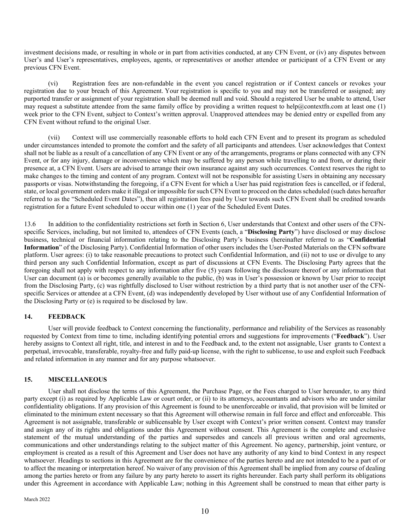investment decisions made, or resulting in whole or in part from activities conducted, at any CFN Event, or (iv) any disputes between User's and User's representatives, employees, agents, or representatives or another attendee or participant of a CFN Event or any previous CFN Event.

(vi) Registration fees are non-refundable in the event you cancel registration or if Context cancels or revokes your registration due to your breach of this Agreement. Your registration is specific to you and may not be transferred or assigned; any purported transfer or assignment of your registration shall be deemed null and void. Should a registered User be unable to attend, User may request a substitute attendee from the same family office by providing a written request to help@contextfn.com at least one  $(1)$ week prior to the CFN Event, subject to Context's written approval. Unapproved attendees may be denied entry or expelled from any CFN Event without refund to the original User.

(vii) Context will use commercially reasonable efforts to hold each CFN Event and to present its program as scheduled under circumstances intended to promote the comfort and the safety of all participants and attendees. User acknowledges that Context shall not be liable as a result of a cancellation of any CFN Event or any of the arrangements, programs or plans connected with any CFN Event, or for any injury, damage or inconvenience which may be suffered by any person while travelling to and from, or during their presence at, a CFN Event. Users are advised to arrange their own insurance against any such occurrences. Context reserves the right to make changes to the timing and content of any program. Context will not be responsible for assisting Users in obtaining any necessary passports or visas. Notwithstanding the foregoing, if a CFN Event for which a User has paid registration fees is cancelled, or if federal, state, or local government orders make it illegal or impossible for such CFN Event to proceed on the dates scheduled (such dates hereafter referred to as the "Scheduled Event Dates"), then all registration fees paid by User towards such CFN Event shall be credited towards registration for a future Event scheduled to occur within one (1) year of the Scheduled Event Dates.

13.6 In addition to the confidentiality restrictions set forth in Section 6, User understands that Context and other users of the CFNspecific Services, including, but not limited to, attendees of CFN Events (each, a "**Disclosing Party**") have disclosed or may disclose business, technical or financial information relating to the Disclosing Party's business (hereinafter referred to as "**Confidential Information**" of the Disclosing Party). Confidential Information of other users includes the User-Posted Materials on the CFN software platform. User agrees: (i) to take reasonable precautions to protect such Confidential Information, and (ii) not to use or divulge to any third person any such Confidential Information, except as part of discussions at CFN Events. The Disclosing Party agrees that the foregoing shall not apply with respect to any information after five (5) years following the disclosure thereof or any information that User can document (a) is or becomes generally available to the public, (b) was in User's possession or known by User prior to receipt from the Disclosing Party, (c) was rightfully disclosed to User without restriction by a third party that is not another user of the CFNspecific Services or attendee at a CFN Event, (d) was independently developed by User without use of any Confidential Information of the Disclosing Party or (e) is required to be disclosed by law.

#### **14. FEEDBACK**

User will provide feedback to Context concerning the functionality, performance and reliability of the Services as reasonably requested by Context from time to time, including identifying potential errors and suggestions for improvements ("**Feedback**"). User hereby assigns to Context all right, title, and interest in and to the Feedback and, to the extent not assignable, User grants to Context a perpetual, irrevocable, transferable, royalty-free and fully paid-up license, with the right to sublicense, to use and exploit such Feedback and related information in any manner and for any purpose whatsoever.

#### **15. MISCELLANEOUS**

User shall not disclose the terms of this Agreement, the Purchase Page, or the Fees charged to User hereunder, to any third party except (i) as required by Applicable Law or court order, or (ii) to its attorneys, accountants and advisors who are under similar confidentiality obligations. If any provision of this Agreement is found to be unenforceable or invalid, that provision will be limited or eliminated to the minimum extent necessary so that this Agreement will otherwise remain in full force and effect and enforceable. This Agreement is not assignable, transferable or sublicensable by User except with Context's prior written consent. Context may transfer and assign any of its rights and obligations under this Agreement without consent. This Agreement is the complete and exclusive statement of the mutual understanding of the parties and supersedes and cancels all previous written and oral agreements, communications and other understandings relating to the subject matter of this Agreement. No agency, partnership, joint venture, or employment is created as a result of this Agreement and User does not have any authority of any kind to bind Context in any respect whatsoever. Headings to sections in this Agreement are for the convenience of the parties hereto and are not intended to be a part of or to affect the meaning or interpretation hereof. No waiver of any provision of this Agreement shall be implied from any course of dealing among the parties hereto or from any failure by any party hereto to assert its rights hereunder. Each party shall perform its obligations under this Agreement in accordance with Applicable Law; nothing in this Agreement shall be construed to mean that either party is